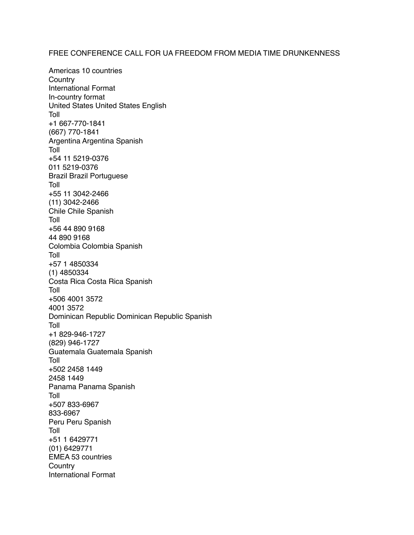## FREE CONFERENCE CALL FOR UA FREEDOM FROM MEDIA TIME DRUNKENNESS

Americas 10 countries **Country** International Format In-country format United States United States English Toll +1 667-770-1841 (667) 770-1841 Argentina Argentina Spanish Toll +54 11 5219-0376 011 5219-0376 Brazil Brazil Portuguese Toll +55 11 3042-2466 (11) 3042-2466 Chile Chile Spanish Toll +56 44 890 9168 44 890 9168 Colombia Colombia Spanish Toll +57 1 4850334 (1) 4850334 Costa Rica Costa Rica Spanish Toll +506 4001 3572 4001 3572 Dominican Republic Dominican Republic Spanish Toll +1 829-946-1727 (829) 946-1727 Guatemala Guatemala Spanish Toll +502 2458 1449 2458 1449 Panama Panama Spanish Toll +507 833-6967 833-6967 Peru Peru Spanish Toll +51 1 6429771 (01) 6429771 EMEA 53 countries **Country** International Format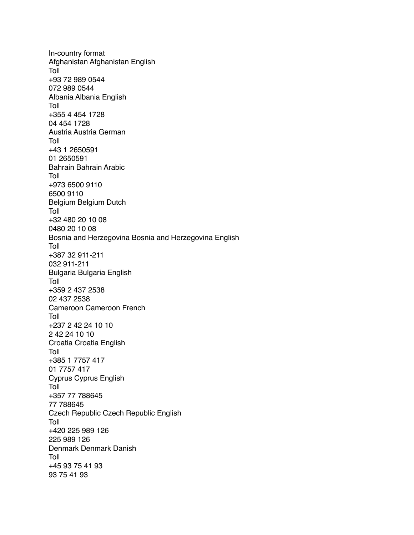In-country format Afghanistan Afghanistan English Toll +93 72 989 0544 072 989 0544 Albania Albania English Toll +355 4 454 1728 04 454 1728 Austria Austria German Toll +43 1 2650591 01 2650591 Bahrain Bahrain Arabic Toll +973 6500 9110 6500 9110 Belgium Belgium Dutch Toll +32 480 20 10 08 0480 20 10 08 Bosnia and Herzegovina Bosnia and Herzegovina English Toll +387 32 911-211 032 911-211 Bulgaria Bulgaria English Toll +359 2 437 2538 02 437 2538 Cameroon Cameroon French Toll +237 2 42 24 10 10 2 42 24 10 10 Croatia Croatia English Toll +385 1 7757 417 01 7757 417 Cyprus Cyprus English Toll +357 77 788645 77 788645 Czech Republic Czech Republic English Toll +420 225 989 126 225 989 126 Denmark Denmark Danish Toll +45 93 75 41 93 93 75 41 93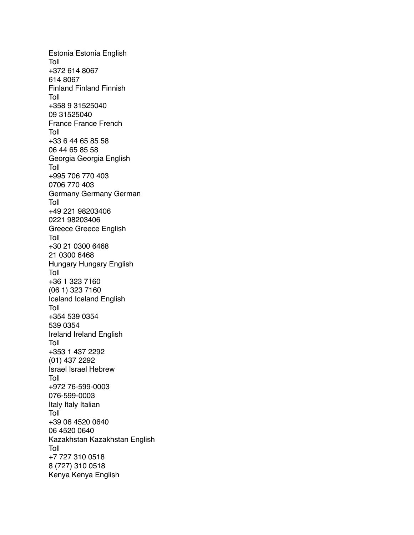Estonia Estonia English Toll +372 614 8067 614 8067 Finland Finland Finnish Toll +358 9 31525040 09 31525040 France France French Toll +33 6 44 65 85 58 06 44 65 85 58 Georgia Georgia English Toll +995 706 770 403 0706 770 403 Germany Germany German Toll +49 221 98203406 0221 98203406 Greece Greece English Toll +30 21 0300 6468 21 0300 6468 Hungary Hungary English Toll +36 1 323 7160 (06 1) 323 7160 Iceland Iceland English Toll +354 539 0354 539 0354 Ireland Ireland English Toll +353 1 437 2292 (01) 437 2292 Israel Israel Hebrew Toll +972 76-599-0003 076-599-0003 Italy Italy Italian Toll +39 06 4520 0640 06 4520 0640 Kazakhstan Kazakhstan English Toll +7 727 310 0518 8 (727) 310 0518 Kenya Kenya English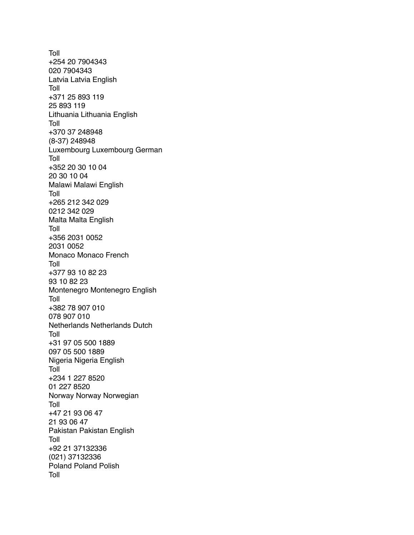Toll +254 20 7904343 020 7904343 Latvia Latvia English Toll +371 25 893 119 25 893 119 Lithuania Lithuania English Toll +370 37 248948 (8-37) 248948 Luxembourg Luxembourg German Toll +352 20 30 10 04 20 30 10 04 Malawi Malawi English Toll +265 212 342 029 0212 342 029 Malta Malta English Toll +356 2031 0052 2031 0052 Monaco Monaco French Toll +377 93 10 82 23 93 10 82 23 Montenegro Montenegro English Toll +382 78 907 010 078 907 010 Netherlands Netherlands Dutch Toll +31 97 05 500 1889 097 05 500 1889 Nigeria Nigeria English Toll +234 1 227 8520 01 227 8520 Norway Norway Norwegian Toll +47 21 93 06 47 21 93 06 47 Pakistan Pakistan English Toll +92 21 37132336 (021) 37132336 Poland Poland Polish Toll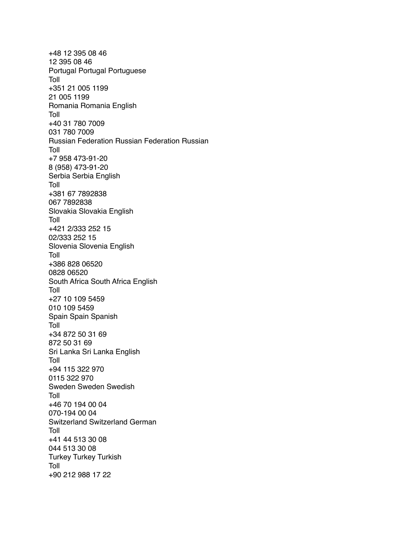+48 12 395 08 46 12 395 08 46 Portugal Portugal Portuguese Toll +351 21 005 1199 21 005 1199 Romania Romania English Toll +40 31 780 7009 031 780 7009 Russian Federation Russian Federation Russian Toll +7 958 473-91-20 8 (958) 473-91-20 Serbia Serbia English Toll +381 67 7892838 067 7892838 Slovakia Slovakia English Toll +421 2/333 252 15 02/333 252 15 Slovenia Slovenia English Toll +386 828 06520 0828 06520 South Africa South Africa English Toll +27 10 109 5459 010 109 5459 Spain Spain Spanish Toll +34 872 50 31 69 872 50 31 69 Sri Lanka Sri Lanka English Toll +94 115 322 970 0115 322 970 Sweden Sweden Swedish Toll +46 70 194 00 04 070-194 00 04 Switzerland Switzerland German Toll +41 44 513 30 08 044 513 30 08 Turkey Turkey Turkish Toll +90 212 988 17 22